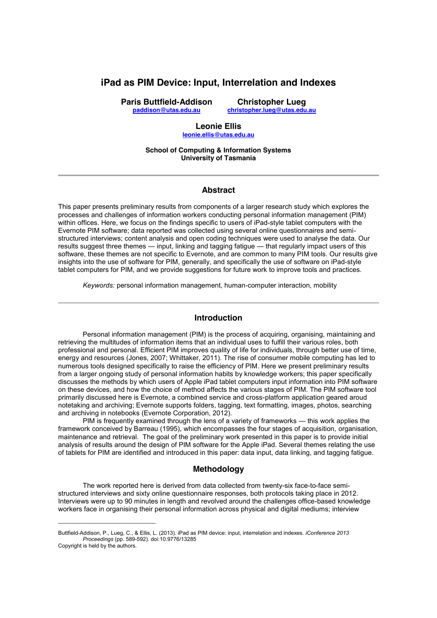# **iPad as PIM Device: Input, Interrelation and Indexes**

**Paris Buttfield-Addison paddison@utas.edu.au**

**Christopher Lueg christopher.lueg@utas.edu.au** 

#### **Leonie Ellis leonie.ellis@utas.edu.au**

**School of Computing & Information Systems University of Tasmania**

#### **Abstract**

This paper presents preliminary results from components of a larger research study which explores the processes and challenges of information workers conducting personal information management (PIM) within offices. Here, we focus on the findings specific to users of iPad-style tablet computers with the Evernote PIM software; data reported was collected using several online questionnaires and semistructured interviews; content analysis and open coding techniques were used to analyse the data. Our results suggest three themes — input, linking and tagging fatigue — that regularly impact users of this software, these themes are not specific to Evernote, and are common to many PIM tools. Our results give insights into the use of software for PIM, generally, and specifically the use of software on iPad-style tablet computers for PIM, and we provide suggestions for future work to improve tools and practices.

*Keywords:* personal information management, human-computer interaction, mobility

# **Introduction**

Personal information management (PIM) is the process of acquiring, organising, maintaining and retrieving the multitudes of information items that an individual uses to fulfill their various roles, both professional and personal. Efficient PIM improves quality of life for individuals, through better use of time, energy and resources (Jones, 2007; Whittaker, 2011). The rise of consumer mobile computing has led to numerous tools designed specifically to raise the efficiency of PIM. Here we present preliminary results from a larger ongoing study of personal information habits by knowledge workers; this paper specifically discusses the methods by which users of Apple iPad tablet computers input information into PIM software on these devices, and how the choice of method affects the various stages of PIM. The PIM software tool primarily discussed here is Evernote, a combined service and cross-platform application geared aroud notetaking and archiving; Evernote supports folders, tagging, text formatting, images, photos, searching and archiving in notebooks (Evernote Corporation, 2012).

PIM is frequently examined through the lens of a variety of frameworks — this work applies the framework conceived by Barreau (1995), which encompasses the four stages of acquisition, organisation, maintenance and retrieval. The goal of the preliminary work presented in this paper is to provide initial analysis of results around the design of PIM software for the Apple iPad. Several themes relating the use of tablets for PIM are identified and introduced in this paper: data input, data linking, and tagging fatigue.

## **Methodology**

The work reported here is derived from data collected from twenty-six face-to-face semistructured interviews and sixty online questionnaire responses, both protocols taking place in 2012. Interviews were up to 90 minutes in length and revolved around the challenges office-based knowledge workers face in organising their personal information across physical and digital mediums; interview

 $\mathcal{L}_\text{max}$  and  $\mathcal{L}_\text{max}$  and  $\mathcal{L}_\text{max}$  and  $\mathcal{L}_\text{max}$ 

Buttfield-Addison, P., Lueg, C., & Ellis, L. (2013). iPad as PIM device: input, interrelation and indexes. *iConference 2013 Proceedings* (pp. 589-592). doi:10.9776/13285 Copyright is held by the authors.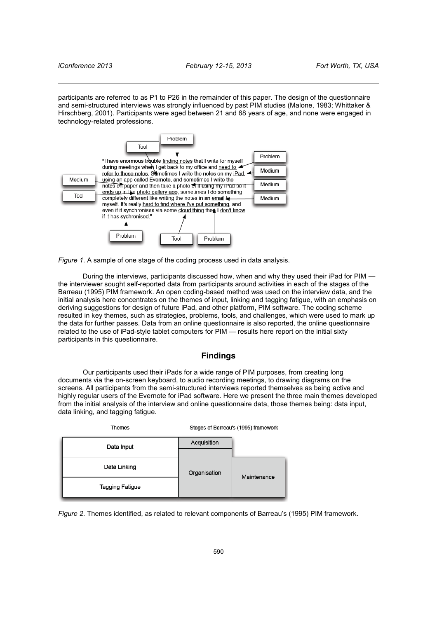participants are referred to as P1 to P26 in the remainder of this paper. The design of the questionnaire and semi-structured interviews was strongly influenced by past PIM studies (Malone, 1983; Whittaker & Hirschberg, 2001). Participants were aged between 21 and 68 years of age, and none were engaged in technology-related professions.



*Figure 1*. A sample of one stage of the coding process used in data analysis.

During the interviews, participants discussed how, when and why they used their iPad for PIM the interviewer sought self-reported data from participants around activities in each of the stages of the Barreau (1995) PIM framework. An open coding-based method was used on the interview data, and the initial analysis here concentrates on the themes of input, linking and tagging fatigue, with an emphasis on deriving suggestions for design of future iPad, and other platform, PIM software. The coding scheme resulted in key themes, such as strategies, problems, tools, and challenges, which were used to mark up the data for further passes. Data from an online questionnaire is also reported, the online questionnaire related to the use of iPad-style tablet computers for PIM — results here report on the initial sixty participants in this questionnaire.

#### **Findings**

Our participants used their iPads for a wide range of PIM purposes, from creating long documents via the on-screen keyboard, to audio recording meetings, to drawing diagrams on the screens. All participants from the semi-structured interviews reported themselves as being active and highly regular users of the Evernote for iPad software. Here we present the three main themes developed from the initial analysis of the interview and online questionnaire data, those themes being: data input, data linking, and tagging fatigue.

| Themes          | Stages of Barreau's (1995) framework |             |
|-----------------|--------------------------------------|-------------|
| Data Input      | Acquisition                          |             |
|                 | Organisation                         |             |
| Data Linking    |                                      | Maintenance |
| Tagging Fatigue |                                      |             |

*Figure 2*. Themes identified, as related to relevant components of Barreau's (1995) PIM framework.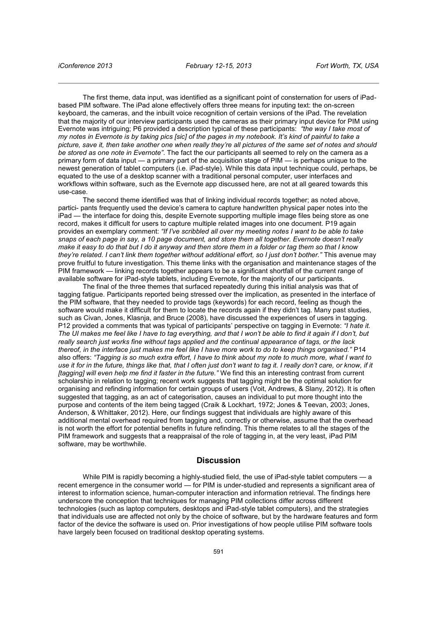The first theme, data input, was identified as a significant point of consternation for users of iPadbased PIM software. The iPad alone effectively offers three means for inputing text: the on-screen keyboard, the cameras, and the inbuilt voice recognition of certain versions of the iPad. The revelation that the majority of our interview participants used the cameras as their primary input device for PIM using Evernote was intriguing; P6 provided a description typical of these participants: *"the way I take most of my notes in Evernote is by taking pics [sic] of the pages in my notebook. It's kind of painful to take a picture, save it, then take another one when really they're all pictures of the same set of notes and should be stored as one note in Evernote"*. The fact the our participants all seemed to rely on the camera as a primary form of data input — a primary part of the acquisition stage of PIM — is perhaps unique to the newest generation of tablet computers (i.e. iPad-style). While this data input technique could, perhaps, be equated to the use of a desktop scanner with a traditional personal computer, user interfaces and workflows within software, such as the Evernote app discussed here, are not at all geared towards this use-case.

The second theme identified was that of linking individual records together; as noted above, partici- pants frequently used the device's camera to capture handwritten physical paper notes into the iPad — the interface for doing this, despite Evernote supporting multiple image files being store as one record, makes it difficult for users to capture multiple related images into one document. P19 again provides an exemplary comment: *"If I've scribbled all over my meeting notes I want to be able to take snaps of each page in say, a 10 page document, and store them all together. Evernote doesn't really make it easy to do that but I do it anyway and then store them in a folder or tag them so that I know they're related. I can't link them together without additional effort, so I just don't bother."* This avenue may prove fruitful to future investigation. This theme links with the organisation and maintenance stages of the PIM framework — linking records together appears to be a significant shortfall of the current range of available software for iPad-style tablets, including Evernote, for the majority of our participants.

The final of the three themes that surfaced repeatedly during this initial analysis was that of tagging fatigue. Participants reported being stressed over the implication, as presented in the interface of the PIM software, that they needed to provide tags (keywords) for each record, feeling as though the software would make it difficult for them to locate the records again if they didn't tag. Many past studies, such as Civan, Jones, Klasnja, and Bruce (2008), have discussed the experiences of users in tagging. P12 provided a comments that was typical of participants' perspective on tagging in Evernote: *"I hate it. The UI makes me feel like I have to tag everything, and that I won't be able to find it again if I don't, but really search just works fine without tags applied and the continual appearance of tags, or the lack thereof, in the interface just makes me feel like I have more work to do to keep things organised."* P14 also offers: *"Tagging is so much extra effort, I have to think about my note to much more, what I want to use it for in the future, things like that, that I often just don't want to tag it. I really don't care, or know, if it [tagging] will even help me find it faster in the future."* We find this an interesting contrast from current scholarship in relation to tagging; recent work suggests that tagging might be the optimal solution for organising and refinding information for certain groups of users (Voit, Andrews, & Slany, 2012). It is often suggested that tagging, as an act of categorisation, causes an individual to put more thought into the purpose and contents of the item being tagged (Craik & Lockhart, 1972; Jones & Teevan, 2003; Jones, Anderson, & Whittaker, 2012). Here, our findings suggest that individuals are highly aware of this additional mental overhead required from tagging and, correctly or otherwise, assume that the overhead is not worth the effort for potential benefits in future refinding. This theme relates to all the stages of the PIM framework and suggests that a reappraisal of the role of tagging in, at the very least, iPad PIM software, may be worthwhile.

#### **Discussion**

While PIM is rapidly becoming a highly-studied field, the use of iPad-style tablet computers — a recent emergence in the consumer world — for PIM is under-studied and represents a significant area of interest to information science, human-computer interaction and information retrieval. The findings here underscore the conception that techniques for managing PIM collections differ across different technologies (such as laptop computers, desktops and iPad-style tablet computers), and the strategies that individuals use are affected not only by the choice of software, but by the hardware features and form factor of the device the software is used on. Prior investigations of how people utilise PIM software tools have largely been focused on traditional desktop operating systems.